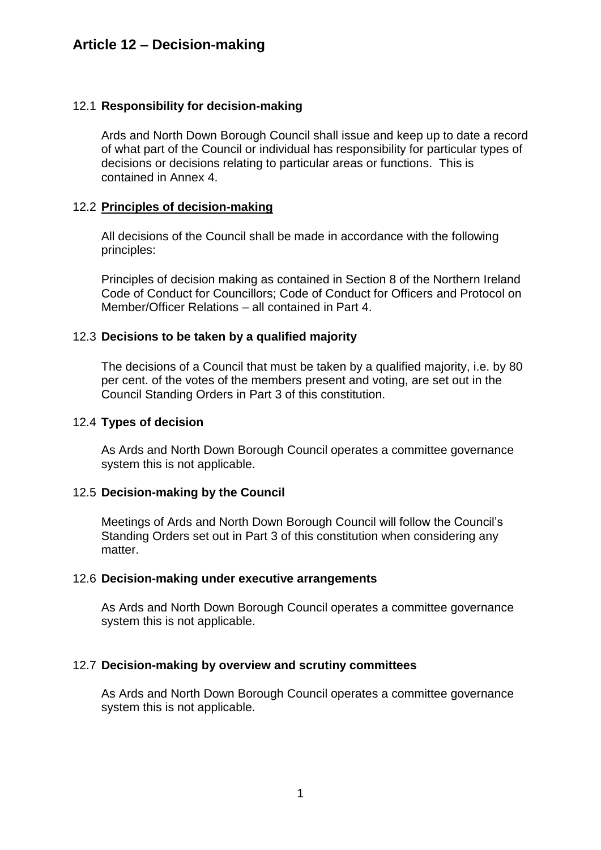# **Article 12 – Decision-making**

## 12.1 **Responsibility for decision-making**

Ards and North Down Borough Council shall issue and keep up to date a record of what part of the Council or individual has responsibility for particular types of decisions or decisions relating to particular areas or functions. This is contained in Annex 4.

### 12.2 **Principles of decision-making**

All decisions of the Council shall be made in accordance with the following principles:

Principles of decision making as contained in Section 8 of the Northern Ireland Code of Conduct for Councillors; Code of Conduct for Officers and Protocol on Member/Officer Relations – all contained in Part 4.

### 12.3 **Decisions to be taken by a qualified majority**

The decisions of a Council that must be taken by a qualified majority, i.e. by 80 per cent. of the votes of the members present and voting, are set out in the Council Standing Orders in Part 3 of this constitution.

#### 12.4 **Types of decision**

As Ards and North Down Borough Council operates a committee governance system this is not applicable.

#### 12.5 **Decision-making by the Council**

Meetings of Ards and North Down Borough Council will follow the Council's Standing Orders set out in Part 3 of this constitution when considering any matter.

#### 12.6 **Decision-making under executive arrangements**

As Ards and North Down Borough Council operates a committee governance system this is not applicable.

#### 12.7 **Decision-making by overview and scrutiny committees**

As Ards and North Down Borough Council operates a committee governance system this is not applicable.